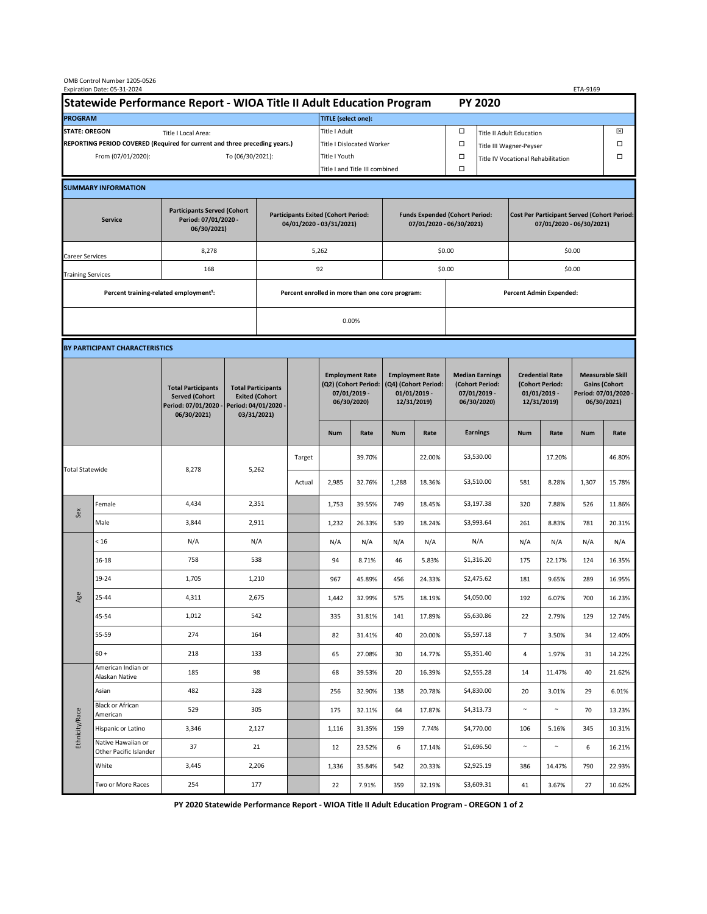|                                                                                             | OMB Control Number 1205-0526<br>Expiration Date: 05-31-2024 |                                                                                           |                                                                        |                                                                                           |        |                                                                               |                                                                   |                                                                                 |                                              |                                                                            |                                                                                |                                                                            |        | ETA-9169                                                                               |        |  |
|---------------------------------------------------------------------------------------------|-------------------------------------------------------------|-------------------------------------------------------------------------------------------|------------------------------------------------------------------------|-------------------------------------------------------------------------------------------|--------|-------------------------------------------------------------------------------|-------------------------------------------------------------------|---------------------------------------------------------------------------------|----------------------------------------------|----------------------------------------------------------------------------|--------------------------------------------------------------------------------|----------------------------------------------------------------------------|--------|----------------------------------------------------------------------------------------|--------|--|
| Statewide Performance Report - WIOA Title II Adult Education Program                        |                                                             |                                                                                           |                                                                        |                                                                                           |        |                                                                               |                                                                   |                                                                                 |                                              |                                                                            | <b>PY 2020</b>                                                                 |                                                                            |        |                                                                                        |        |  |
| <b>PROGRAM</b>                                                                              |                                                             |                                                                                           |                                                                        |                                                                                           |        | <b>TITLE</b> (select one):                                                    |                                                                   |                                                                                 |                                              |                                                                            |                                                                                |                                                                            |        |                                                                                        |        |  |
| <b>STATE: OREGON</b><br>Title I Local Area:                                                 |                                                             |                                                                                           |                                                                        |                                                                                           |        | Title I Adult                                                                 |                                                                   |                                                                                 |                                              | □<br><b>Title II Adult Education</b>                                       |                                                                                |                                                                            |        |                                                                                        | ⊠      |  |
| REPORTING PERIOD COVERED (Required for current and three preceding years.)                  |                                                             |                                                                                           |                                                                        |                                                                                           |        | Title I Dislocated Worker                                                     |                                                                   |                                                                                 |                                              | Ω                                                                          | □<br>Title III Wagner-Peyser                                                   |                                                                            |        |                                                                                        |        |  |
| To (06/30/2021):<br>From (07/01/2020):                                                      |                                                             |                                                                                           |                                                                        | Title I Youth                                                                             |        |                                                                               |                                                                   |                                                                                 | $\Box$<br>Title IV Vocational Rehabilitation |                                                                            |                                                                                |                                                                            |        | □                                                                                      |        |  |
|                                                                                             |                                                             |                                                                                           |                                                                        |                                                                                           |        | Title I and Title III combined                                                |                                                                   |                                                                                 |                                              | Ω                                                                          |                                                                                |                                                                            |        |                                                                                        |        |  |
|                                                                                             | <b>SUMMARY INFORMATION</b>                                  |                                                                                           |                                                                        |                                                                                           |        |                                                                               |                                                                   |                                                                                 |                                              |                                                                            |                                                                                |                                                                            |        |                                                                                        |        |  |
| <b>Participants Served (Cohort</b><br>Period: 07/01/2020 -<br><b>Service</b><br>06/30/2021) |                                                             |                                                                                           | <b>Participants Exited (Cohort Period:</b><br>04/01/2020 - 03/31/2021) |                                                                                           |        |                                                                               | <b>Funds Expended (Cohort Period:</b><br>07/01/2020 - 06/30/2021) |                                                                                 |                                              |                                                                            | <b>Cost Per Participant Served (Cohort Period:</b><br>07/01/2020 - 06/30/2021) |                                                                            |        |                                                                                        |        |  |
| Career Services                                                                             |                                                             | 8,278                                                                                     |                                                                        |                                                                                           |        | 5,262                                                                         |                                                                   |                                                                                 |                                              | \$0.00                                                                     |                                                                                | \$0.00                                                                     |        |                                                                                        |        |  |
| <b>Training Services</b>                                                                    |                                                             | 168                                                                                       |                                                                        | 92                                                                                        |        |                                                                               |                                                                   |                                                                                 |                                              | \$0.00                                                                     |                                                                                | \$0.00                                                                     |        |                                                                                        |        |  |
|                                                                                             | Percent training-related employment <sup>1</sup> :          |                                                                                           | Percent enrolled in more than one core program:                        |                                                                                           |        |                                                                               |                                                                   |                                                                                 |                                              |                                                                            | <b>Percent Admin Expended:</b>                                                 |                                                                            |        |                                                                                        |        |  |
|                                                                                             |                                                             |                                                                                           |                                                                        |                                                                                           | 0.00%  |                                                                               |                                                                   |                                                                                 |                                              |                                                                            |                                                                                |                                                                            |        |                                                                                        |        |  |
|                                                                                             |                                                             |                                                                                           |                                                                        |                                                                                           |        |                                                                               |                                                                   |                                                                                 |                                              |                                                                            |                                                                                |                                                                            |        |                                                                                        |        |  |
|                                                                                             | BY PARTICIPANT CHARACTERISTICS                              |                                                                                           |                                                                        |                                                                                           |        |                                                                               |                                                                   |                                                                                 |                                              |                                                                            |                                                                                |                                                                            |        |                                                                                        |        |  |
|                                                                                             |                                                             | <b>Total Participants</b><br><b>Served (Cohort</b><br>Period: 07/01/2020 -<br>06/30/2021) |                                                                        | <b>Total Participants</b><br><b>Exited (Cohort</b><br>Period: 04/01/2020 -<br>03/31/2021) |        | <b>Employment Rate</b><br>(Q2) (Cohort Period:<br>07/01/2019 -<br>06/30/2020) |                                                                   | <b>Employment Rate</b><br>(Q4) (Cohort Period:<br>$01/01/2019$ -<br>12/31/2019) |                                              | <b>Median Earnings</b><br>(Cohort Period:<br>$07/01/2019 -$<br>06/30/2020) |                                                                                | <b>Credential Rate</b><br>(Cohort Period:<br>$01/01/2019$ -<br>12/31/2019) |        | <b>Measurable Skill</b><br><b>Gains (Cohort</b><br>Period: 07/01/2020 -<br>06/30/2021) |        |  |
|                                                                                             |                                                             |                                                                                           |                                                                        |                                                                                           |        | <b>Num</b>                                                                    | Rate                                                              | <b>Num</b>                                                                      | Rate                                         |                                                                            | <b>Earnings</b>                                                                | <b>Num</b>                                                                 | Rate   | <b>Num</b>                                                                             | Rate   |  |
| <b>Total Statewide</b>                                                                      |                                                             |                                                                                           | 8,278<br>5,262                                                         |                                                                                           | Target |                                                                               | 39.70%                                                            |                                                                                 | 22.00%                                       |                                                                            | \$3,530.00                                                                     |                                                                            | 17.20% |                                                                                        | 46.80% |  |
|                                                                                             |                                                             |                                                                                           |                                                                        |                                                                                           | Actual | 2,985                                                                         | 32.76%                                                            | 1,288                                                                           | 18.36%                                       |                                                                            | \$3,510.00                                                                     | 581                                                                        | 8.28%  | 1,307                                                                                  | 15.78% |  |
|                                                                                             | Female                                                      | 4,434                                                                                     | 2,351                                                                  |                                                                                           |        | 1,753                                                                         | 39.55%                                                            | 749                                                                             | 18.45%                                       |                                                                            | \$3,197.38                                                                     | 320                                                                        | 7.88%  | 526                                                                                    | 11.86% |  |
| Sex                                                                                         | Male                                                        | 3,844                                                                                     | 2,911                                                                  |                                                                                           |        | 1,232                                                                         | 26.33%                                                            | 539                                                                             | 18.24%                                       |                                                                            | \$3,993.64                                                                     | 261                                                                        | 8.83%  | 781                                                                                    | 20.31% |  |
| Age                                                                                         | < 16                                                        | N/A                                                                                       | N/A                                                                    |                                                                                           |        | N/A                                                                           | N/A                                                               | N/A                                                                             | N/A                                          |                                                                            | N/A                                                                            | N/A                                                                        | N/A    | N/A                                                                                    | N/A    |  |
|                                                                                             | $16 - 18$                                                   | 758                                                                                       | 538                                                                    |                                                                                           |        | 94                                                                            | 8.71%                                                             | 46                                                                              | 5.83%                                        |                                                                            | \$1,316.20                                                                     | 175                                                                        | 22.17% | 124                                                                                    | 16.35% |  |
|                                                                                             | 19-24                                                       | 1,705                                                                                     | 1,210                                                                  |                                                                                           |        | 967                                                                           | 45.89%                                                            | 456                                                                             | 24.33%                                       |                                                                            | \$2,475.62                                                                     | 181                                                                        | 9.65%  | 289                                                                                    | 16.95% |  |
|                                                                                             | 25-44                                                       | 4,311                                                                                     | 2,675                                                                  |                                                                                           |        | 1,442                                                                         | 32.99%                                                            | 575                                                                             | 18.19%                                       |                                                                            | \$4,050.00                                                                     | 192                                                                        | 6.07%  | 700                                                                                    | 16.23% |  |
|                                                                                             | 45-54                                                       | 1,012                                                                                     | 542                                                                    |                                                                                           |        | 335                                                                           | 31.81%                                                            | 141                                                                             | 17.89%                                       |                                                                            | \$5,630.86                                                                     | 22                                                                         | 2.79%  | 129                                                                                    | 12.74% |  |
|                                                                                             | 55-59                                                       | 274                                                                                       | 164                                                                    |                                                                                           |        | 82                                                                            | 31.41%                                                            | 40                                                                              | 20.00%                                       |                                                                            | \$5,597.18                                                                     | $\overline{7}$                                                             | 3.50%  | 34                                                                                     | 12.40% |  |
|                                                                                             | $60 +$                                                      | 218                                                                                       | 133                                                                    |                                                                                           |        | 65                                                                            | 27.08%                                                            | 30                                                                              | 14.77%                                       |                                                                            | \$5,351.40                                                                     | 4                                                                          | 1.97%  | 31                                                                                     | 14.22% |  |
| Ethnicity/Race                                                                              | American Indian or<br>Alaskan Native                        | 185                                                                                       | 98                                                                     |                                                                                           |        | 68                                                                            | 39.53%                                                            | 20                                                                              | 16.39%                                       |                                                                            | \$2,555.28                                                                     | 14                                                                         | 11.47% | 40                                                                                     | 21.62% |  |
|                                                                                             | Asian                                                       | 482                                                                                       | 328                                                                    |                                                                                           |        | 256                                                                           | 32.90%                                                            | 138                                                                             | 20.78%                                       |                                                                            | \$4,830.00                                                                     | 20                                                                         | 3.01%  | 29                                                                                     | 6.01%  |  |
|                                                                                             | Black or African<br>American                                | 529                                                                                       | 305                                                                    |                                                                                           |        | 175                                                                           | 32.11%                                                            | 64                                                                              | 17.87%                                       |                                                                            | \$4,313.73                                                                     | $\sim$                                                                     | $\sim$ | 70                                                                                     | 13.23% |  |
|                                                                                             | Hispanic or Latino                                          | 3,346                                                                                     | 2,127                                                                  |                                                                                           |        | 1,116                                                                         | 31.35%                                                            | 159                                                                             | 7.74%                                        |                                                                            | \$4,770.00                                                                     | 106                                                                        | 5.16%  | 345                                                                                    | 10.31% |  |
|                                                                                             | Native Hawaiian or<br>Other Pacific Islander                | 37                                                                                        | 21                                                                     |                                                                                           |        | 12                                                                            | 23.52%                                                            | 6                                                                               | 17.14%                                       |                                                                            | \$1,696.50                                                                     | $\sim$                                                                     | $\sim$ | 6                                                                                      | 16.21% |  |
|                                                                                             | White                                                       | 3,445                                                                                     | 2,206                                                                  |                                                                                           |        | 1,336                                                                         | 35.84%                                                            | 542                                                                             | 20.33%                                       |                                                                            | \$2,925.19                                                                     | 386                                                                        | 14.47% | 790                                                                                    | 22.93% |  |
|                                                                                             | Two or More Races                                           | 254                                                                                       | 177                                                                    |                                                                                           |        | 22                                                                            | 7.91%                                                             | 359                                                                             | 32.19%                                       |                                                                            | \$3,609.31                                                                     | 41                                                                         | 3.67%  | 27                                                                                     | 10.62% |  |

**PY 2020 Statewide Performance Report - WIOA Title II Adult Education Program - OREGON 1 of 2**